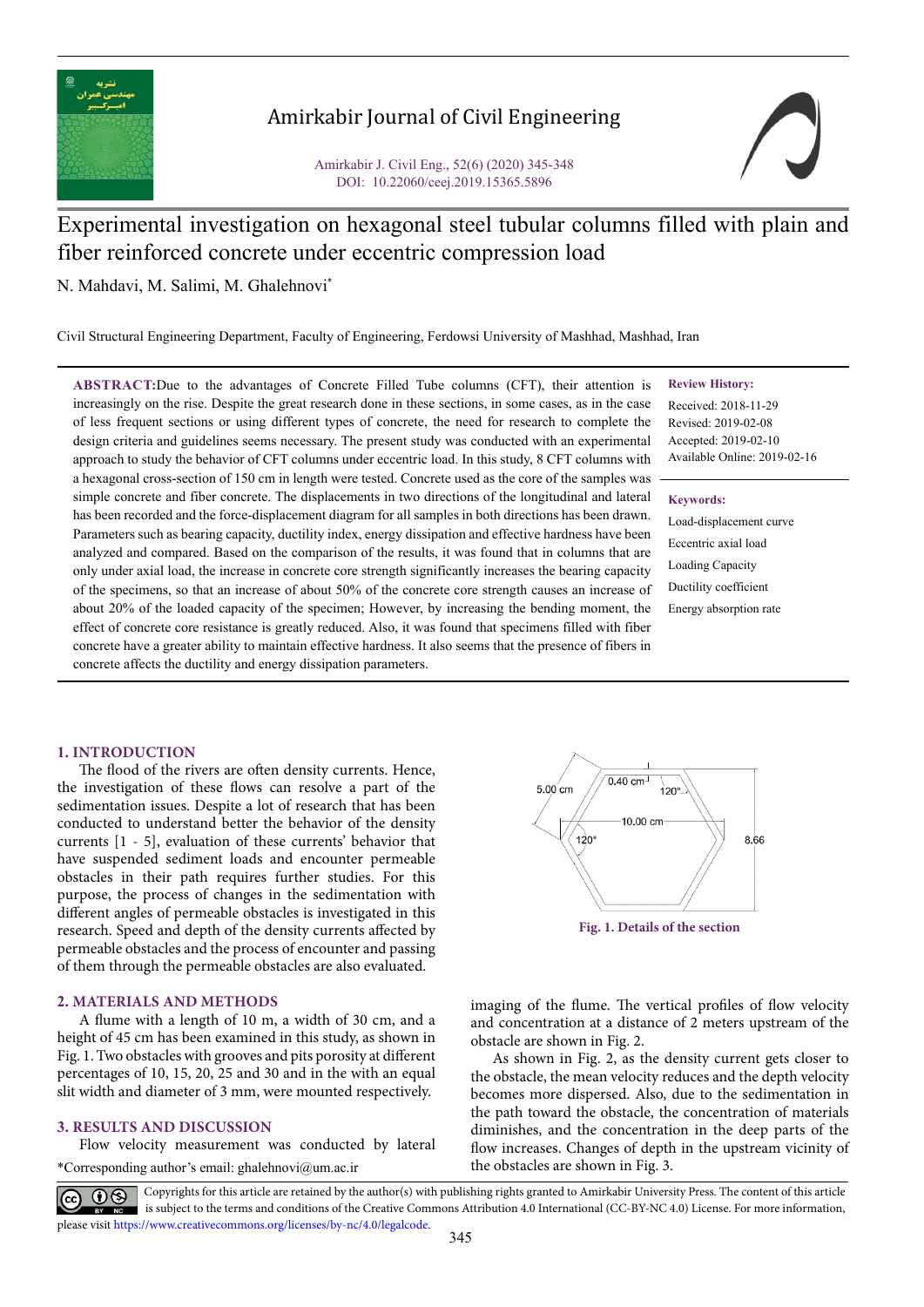

# Amirkabir Journal of Civil Engineering

Amirkabir J. Civil Eng., 52(6) (2020) 345-348 DOI: 10.22060/ceej.2019.15365.5896



# Experimental investigation on hexagonal steel tubular columns filled with plain and fiber reinforced concrete under eccentric compression load

N. Mahdavi, M. Salimi, M. Ghalehnovi\*

Civil Structural Engineering Department, Faculty of Engineering, Ferdowsi University of Mashhad, Mashhad, Iran

**ABSTRACT:**Due to the advantages of Concrete Filled Tube columns (CFT), their attention is increasingly on the rise. Despite the great research done in these sections, in some cases, as in the case of less frequent sections or using different types of concrete, the need for research to complete the design criteria and guidelines seems necessary. The present study was conducted with an experimental approach to study the behavior of CFT columns under eccentric load. In this study, 8 CFT columns with a hexagonal cross-section of 150 cm in length were tested. Concrete used as the core of the samples was simple concrete and fiber concrete. The displacements in two directions of the longitudinal and lateral has been recorded and the force-displacement diagram for all samples in both directions has been drawn. Parameters such as bearing capacity, ductility index, energy dissipation and effective hardness have been analyzed and compared. Based on the comparison of the results, it was found that in columns that are only under axial load, the increase in concrete core strength significantly increases the bearing capacity of the specimens, so that an increase of about 50% of the concrete core strength causes an increase of about 20% of the loaded capacity of the specimen; However, by increasing the bending moment, the effect of concrete core resistance is greatly reduced. Also, it was found that specimens filled with fiber concrete have a greater ability to maintain effective hardness. It also seems that the presence of fibers in concrete affects the ductility and energy dissipation parameters.

#### **Review History:**

Received: 2018-11-29 Revised: 2019-02-08 Accepted: 2019-02-10 Available Online: 2019-02-16

#### **Keywords:**

Load-displacement curve Eccentric axial load Loading Capacity Ductility coefficient Energy absorption rate

# **1. INTRODUCTION**

The flood of the rivers are often density currents. Hence, the investigation of these flows can resolve a part of the sedimentation issues. Despite a lot of research that has been conducted to understand better the behavior of the density currents [1 - 5], evaluation of these currents' behavior that have suspended sediment loads and encounter permeable obstacles in their path requires further studies. For this purpose, the process of changes in the sedimentation with different angles of permeable obstacles is investigated in this research. Speed and depth of the density currents affected by permeable obstacles and the process of encounter and passing of them through the permeable obstacles are also evaluated.

# **2. MATERIALS AND METHODS**

A flume with a length of 10 m, a width of 30 cm, and a height of 45 cm has been examined in this study, as shown in Fig. 1. Two obstacles with grooves and pits porosity at different percentages of 10, 15, 20, 25 and 30 and in the with an equal slit width and diameter of 3 mm, were mounted respectively.

#### **3. RESULTS AND DISCUSSION**

\*Corresponding author's email: ghalehnovi@um.ac.ir Flow velocity measurement was conducted by lateral



**Fig. 1. Details of the section** 

imaging of the flume. The vertical profiles of flow velocity and concentration at a distance of 2 meters upstream of the obstacle are shown in Fig. 2.

As shown in Fig. 2, as the density current gets closer to the obstacle, the mean velocity reduces and the depth velocity becomes more dispersed. Also, due to the sedimentation in the path toward the obstacle, the concentration of materials diminishes, and the concentration in the deep parts of the flow increases. Changes of depth in the upstream vicinity of the obstacles are shown in Fig. 3.

Copyrights for this article are retained by the author(s) with publishing rights granted to Amirkabir University Press. The content of this article is subject to the terms and conditions of the Creative Commons Attribution 4.0 International (CC-BY-NC 4.0) License. For more information, please visit https://www.creativecommons.org/licenses/by-nc/4.0/legalcode.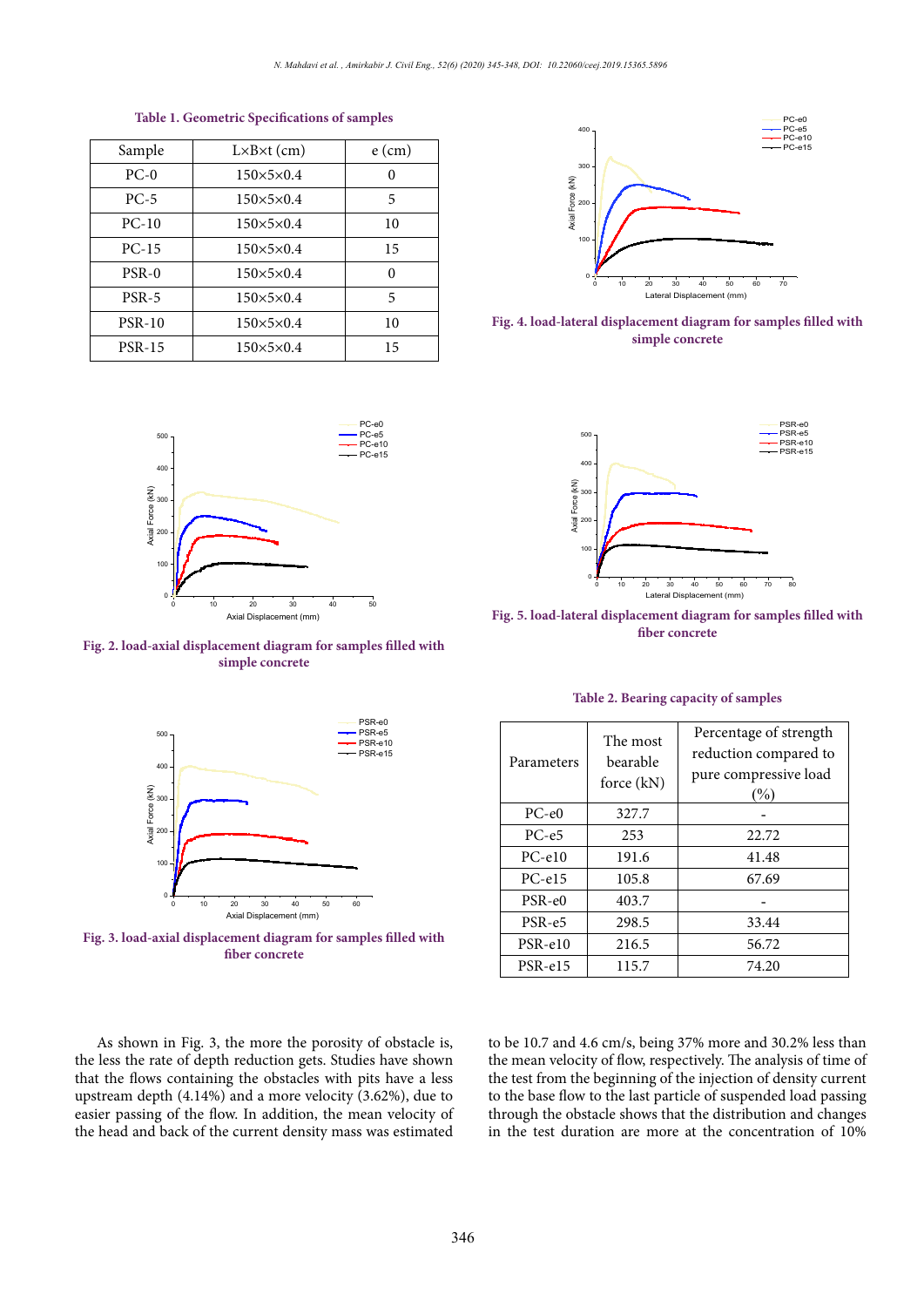| Sample        | $L \times B \times t$ (cm) | $e$ (cm) |
|---------------|----------------------------|----------|
| $PC-0$        | $150\times5\times0.4$      | O        |
| $PC-5$        | $150\times5\times0.4$      | 5        |
| $PC-10$       | $150\times5\times0.4$      | 10       |
| $PC-15$       | $150\times5\times0.4$      | 15       |
| $PSR-0$       | $150\times5\times0.4$      | 0        |
| $PSR-5$       | $150\times5\times0.4$      | 5        |
| <b>PSR-10</b> | $150\times5\times0.4$      | 10       |
| <b>PSR-15</b> | $150\times5\times0.4$      | 15       |

Table 1. Geometric Specifications of samples **Table 1. Geometric Specifications of samples**



Fig. 2. load-axial displacement diagram for samples filled with **simple concrete**



**Figure 3. load-axial displacement diagram for samples filled with fiber concrete Fig. 3. load-axial displacement diagram for samples filled with fiber concrete**



Fig. 4. load-lateral displacement diagram for samples filled with **simple concrete**



**Figure 5. load-lateral displacement diagram for samples filled with fiber concrete Fig. 5. load-lateral displacement diagram for samples filled with fiber concrete**

| Parameters | The most<br>bearable<br>force (kN) | Percentage of strength<br>reduction compared to<br>pure compressive load<br>(%) |
|------------|------------------------------------|---------------------------------------------------------------------------------|
| $PC-e0$    | 327.7                              |                                                                                 |
| $PC-e5$    | 253                                | 22.72                                                                           |
| $PC-e10$   | 191.6                              | 41.48                                                                           |
| $PC-el5$   | 105.8                              | 67.69                                                                           |
| $PSR-e0$   | 403.7                              |                                                                                 |
| PSR-e5     | 298.5                              | 33.44                                                                           |
| $PSR-e10$  | 216.5                              | 56.72                                                                           |
| PSR-e15    | 115.7                              | 74.20                                                                           |

# Table 2. Bearing capacity of samples **Table 2. Bearing capacity of samples**

As shown in Fig. 3, the more the porosity of obstacle is, the less the rate of depth reduction gets. Studies have shown that the flows containing the obstacles with pits have a less upstream depth (4.14%) and a more velocity (3.62%), due to easier passing of the flow. In addition, the mean velocity of the head and back of the current density mass was estimated to be 10.7 and 4.6 cm/s, being 37% more and 30.2% less than the mean velocity of flow, respectively. The analysis of time of the test from the beginning of the injection of density current to the base flow to the last particle of suspended load passing through the obstacle shows that the distribution and changes in the test duration are more at the concentration of 10%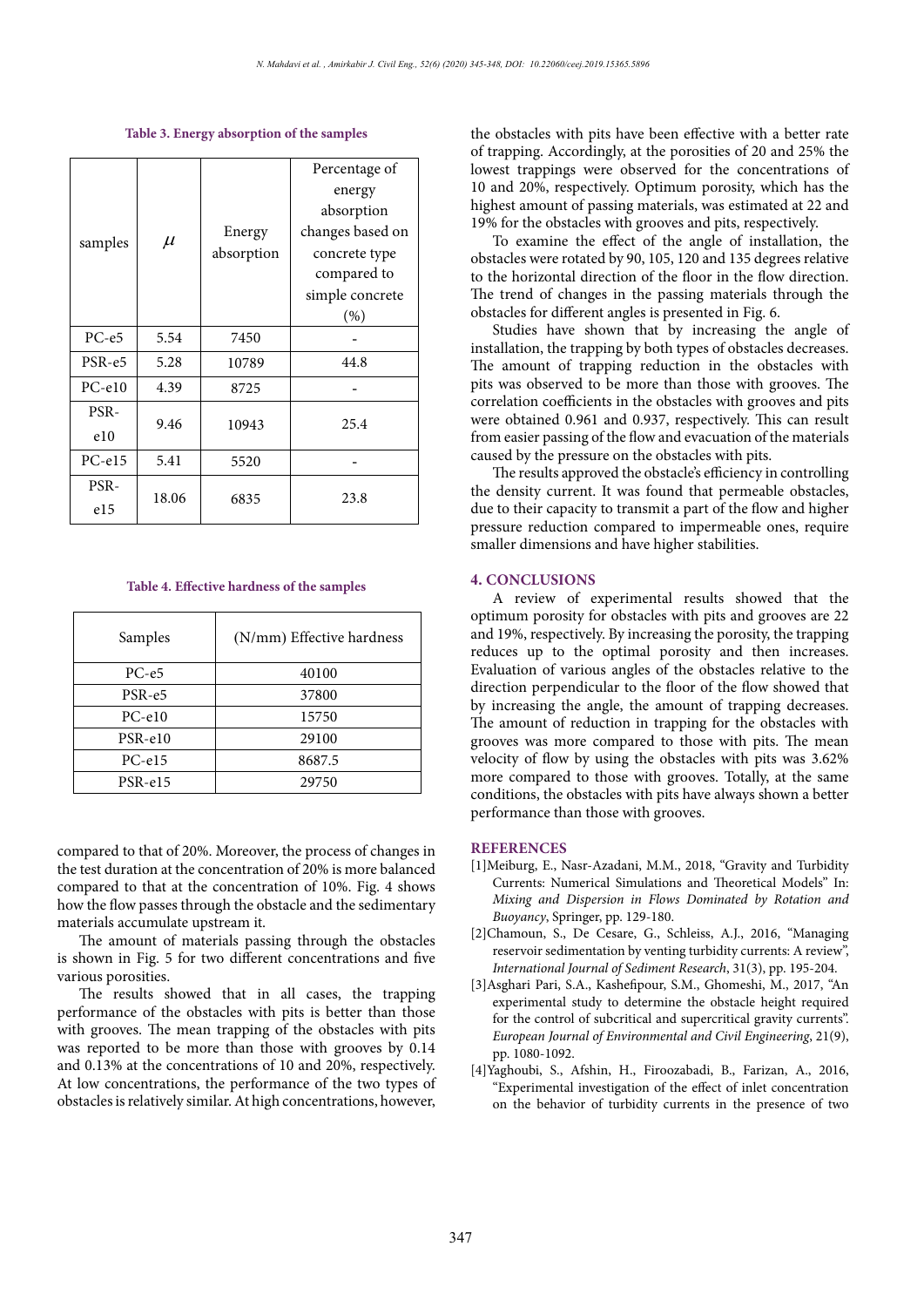Table 3. Energy absorption of the samples **Table 3. Energy absorption of the samples**

| samples  | $\mu$ | Energy<br>absorption | Percentage of    |
|----------|-------|----------------------|------------------|
|          |       |                      | energy           |
|          |       |                      | absorption       |
|          |       |                      | changes based on |
|          |       |                      | concrete type    |
|          |       |                      | compared to      |
|          |       |                      | simple concrete  |
|          |       |                      | (%)              |
| $PC-e5$  | 5.54  | 7450                 |                  |
| PSR-e5   | 5.28  | 10789                | 44.8             |
| $PC-e10$ | 4.39  | 8725                 |                  |
| PSR-     | 9.46  | 10943                | 25.4             |
| e10      |       |                      |                  |
| $PC-el5$ | 5.41  | 5520                 |                  |
| PSR-     |       | 6835                 | 23.8             |
| e15      | 18.06 |                      |                  |

Table 4. Effective hardness of the samples **Table 4. Effective hardness of the samples**

| Samples  | (N/mm) Effective hardness |
|----------|---------------------------|
| $PC-e5$  | 40100                     |
| $PSR-e5$ | 37800                     |
| $PC-e10$ | 15750                     |
| PSR-e10  | 29100                     |
| $PC-el5$ | 8687.5                    |
| PSR-e15  | 29750                     |

compared to that of 20%. Moreover, the process of changes in the test duration at the concentration of 20% is more balanced compared to that at the concentration of 10%. Fig. 4 shows how the flow passes through the obstacle and the sedimentary materials accumulate upstream it.

The amount of materials passing through the obstacles is shown in Fig. 5 for two different concentrations and five various porosities.

The results showed that in all cases, the trapping performance of the obstacles with pits is better than those with grooves. The mean trapping of the obstacles with pits was reported to be more than those with grooves by  $0.14$ and 0.13% at the concentrations of 10 and 20%, respectively. At low concentrations, the performance of the two types of obstacles is relatively similar. At high concentrations, however,

the obstacles with pits have been effective with a better rate of trapping. Accordingly, at the porosities of 20 and 25% the lowest trappings were observed for the concentrations of 10 and 20%, respectively. Optimum porosity, which has the highest amount of passing materials, was estimated at 22 and 19% for the obstacles with grooves and pits, respectively.

To examine the effect of the angle of installation, the obstacles were rotated by 90, 105, 120 and 135 degrees relative to the horizontal direction of the floor in the flow direction. The trend of changes in the passing materials through the obstacles for different angles is presented in Fig. 6.

Studies have shown that by increasing the angle of installation, the trapping by both types of obstacles decreases. The amount of trapping reduction in the obstacles with pits was observed to be more than those with grooves. The correlation coefficients in the obstacles with grooves and pits were obtained 0.961 and 0.937, respectively. This can result from easier passing of the flow and evacuation of the materials caused by the pressure on the obstacles with pits.

The results approved the obstacle's efficiency in controlling the density current. It was found that permeable obstacles, due to their capacity to transmit a part of the flow and higher pressure reduction compared to impermeable ones, require smaller dimensions and have higher stabilities.

#### **4. CONCLUSIONS**

A review of experimental results showed that the optimum porosity for obstacles with pits and grooves are 22 and 19%, respectively. By increasing the porosity, the trapping reduces up to the optimal porosity and then increases. Evaluation of various angles of the obstacles relative to the direction perpendicular to the floor of the flow showed that by increasing the angle, the amount of trapping decreases. The amount of reduction in trapping for the obstacles with grooves was more compared to those with pits. The mean velocity of flow by using the obstacles with pits was 3.62% more compared to those with grooves. Totally, at the same conditions, the obstacles with pits have always shown a better performance than those with grooves.

### **REFERENCES**

- [1]Meiburg, E., Nasr-Azadani, M.M., 2018, "Gravity and Turbidity Currents: Numerical Simulations and Theoretical Models" In: *Mixing and Dispersion in Flows Dominated by Rotation and Buoyancy*, Springer, pp. 129-180.
- [2]Chamoun, S., De Cesare, G., Schleiss, A.J., 2016, "Managing reservoir sedimentation by venting turbidity currents: A review", *International Journal of Sediment Research*, 31(3), pp. 195-204.
- [3]Asghari Pari, S.A., Kashefipour, S.M., Ghomeshi, M., 2017, "An experimental study to determine the obstacle height required for the control of subcritical and supercritical gravity currents". *European Journal of Environmental and Civil Engineering*, 21(9), pp. 1080-1092.
- [4]Yaghoubi, S., Afshin, H., Firoozabadi, B., Farizan, A., 2016, "Experimental investigation of the effect of inlet concentration on the behavior of turbidity currents in the presence of two